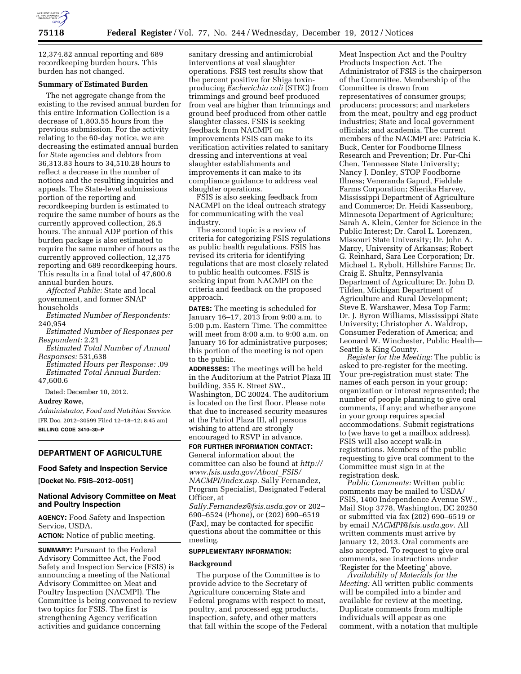

12,374.82 annual reporting and 689 recordkeeping burden hours. This burden has not changed.

### **Summary of Estimated Burden**

The net aggregate change from the existing to the revised annual burden for this entire Information Collection is a decrease of 1,803.55 hours from the previous submission. For the activity relating to the 60-day notice, we are decreasing the estimated annual burden for State agencies and debtors from 36,313.83 hours to 34,510.28 hours to reflect a decrease in the number of notices and the resulting inquiries and appeals. The State-level submissions portion of the reporting and recordkeeping burden is estimated to require the same number of hours as the currently approved collection, 26.5 hours. The annual ADP portion of this burden package is also estimated to require the same number of hours as the currently approved collection, 12,375 reporting and 689 recordkeeping hours. This results in a final total of 47,600.6 annual burden hours.

*Affected Public:* State and local government, and former SNAP households

*Estimated Number of Respondents:*  240,954

*Estimated Number of Responses per Respondent:* 2.21

*Estimated Total Number of Annual Responses:* 531,638

*Estimated Hours per Response:* .09 *Estimated Total Annual Burden:*  47,600.6

Dated: December 10, 2012.

**Audrey Rowe,** 

*Administrator, Food and Nutrition Service.*  [FR Doc. 2012–30599 Filed 12–18–12; 8:45 am] **BILLING CODE 3410–30–P** 

# **DEPARTMENT OF AGRICULTURE**

#### **Food Safety and Inspection Service**

**[Docket No. FSIS–2012–0051]** 

# **National Advisory Committee on Meat and Poultry Inspection**

**AGENCY:** Food Safety and Inspection Service, USDA.

**ACTION:** Notice of public meeting.

**SUMMARY: Pursuant to the Federal** Advisory Committee Act, the Food Safety and Inspection Service (FSIS) is announcing a meeting of the National Advisory Committee on Meat and Poultry Inspection (NACMPI). The Committee is being convened to review two topics for FSIS. The first is strengthening Agency verification activities and guidance concerning

sanitary dressing and antimicrobial interventions at veal slaughter operations. FSIS test results show that the percent positive for Shiga toxinproducing *Escherichia coli* (STEC) from trimmings and ground beef produced from veal are higher than trimmings and ground beef produced from other cattle slaughter classes. FSIS is seeking feedback from NACMPI on improvements FSIS can make to its verification activities related to sanitary dressing and interventions at veal slaughter establishments and improvements it can make to its compliance guidance to address veal slaughter operations.

FSIS is also seeking feedback from NACMPI on the ideal outreach strategy for communicating with the veal industry.

The second topic is a review of criteria for categorizing FSIS regulations as public health regulations. FSIS has revised its criteria for identifying regulations that are most closely related to public health outcomes. FSIS is seeking input from NACMPI on the criteria and feedback on the proposed approach.

**DATES:** The meeting is scheduled for January 16–17, 2013 from 9:00 a.m. to 5:00 p.m. Eastern Time. The committee will meet from 8:00 a.m. to 9:00 a.m. on January 16 for administrative purposes; this portion of the meeting is not open to the public.

**ADDRESSES:** The meetings will be held in the Auditorium at the Patriot Plaza III building, 355 E. Street SW., Washington, DC 20024. The auditorium is located on the first floor. Please note that due to increased security measures at the Patriot Plaza III, all persons wishing to attend are strongly encouraged to RSVP in advance.

**FOR FURTHER INFORMATION CONTACT:**  General information about the committee can also be found at *[http://](http://www.fsis.usda.gov/About_FSIS/NACMPI/index.asp) [www.fsis.usda.gov/About](http://www.fsis.usda.gov/About_FSIS/NACMPI/index.asp)*\_*FSIS/ [NACMPI/index.asp.](http://www.fsis.usda.gov/About_FSIS/NACMPI/index.asp)* Sally Fernandez, Program Specialist, Designated Federal Officer, at

*[Sally.Fernandez@fsis.usda.gov](mailto:Sally.Fernandez@fsis.usda.gov)* or 202– 690–6524 (Phone), or (202) 690–6519 (Fax), may be contacted for specific questions about the committee or this meeting.

#### **SUPPLEMENTARY INFORMATION:**

### **Background**

The purpose of the Committee is to provide advice to the Secretary of Agriculture concerning State and Federal programs with respect to meat, poultry, and processed egg products, inspection, safety, and other matters that fall within the scope of the Federal Meat Inspection Act and the Poultry Products Inspection Act. The Administrator of FSIS is the chairperson of the Committee. Membership of the Committee is drawn from representatives of consumer groups; producers; processors; and marketers from the meat, poultry and egg product industries; State and local government officials; and academia. The current members of the NACMPI are: Patricia K. Buck, Center for Foodborne Illness Research and Prevention; Dr. Fur-Chi Chen, Tennessee State University; Nancy J. Donley, STOP Foodborne Illness; Veneranda Gapud, Fieldale Farms Corporation; Sherika Harvey, Mississippi Department of Agriculture and Commerce; Dr. Heidi Kassenborg, Minnesota Department of Agriculture; Sarah A. Klein, Center for Science in the Public Interest; Dr. Carol L. Lorenzen, Missouri State University; Dr. John A. Marcy, University of Arkansas; Robert G. Reinhard, Sara Lee Corporation; Dr. Michael L. Rybolt, Hillshire Farms; Dr. Craig E. Shultz, Pennsylvania Department of Agriculture; Dr. John D. Tilden, Michigan Department of Agriculture and Rural Development; Steve E. Warshawer, Mesa Top Farm; Dr. J. Byron Williams, Mississippi State University; Christopher A. Waldrop, Consumer Federation of America; and Leonard W. Winchester, Public Health— Seattle & King County.

*Register for the Meeting:* The public is asked to pre-register for the meeting. Your pre-registration must state: The names of each person in your group; organization or interest represented; the number of people planning to give oral comments, if any; and whether anyone in your group requires special accommodations. Submit registrations to (we have to get a mailbox address). FSIS will also accept walk-in registrations. Members of the public requesting to give oral comment to the Committee must sign in at the registration desk.

*Public Comments:* Written public comments may be mailed to USDA/ FSIS, 1400 Independence Avenue SW., Mail Stop 3778, Washington, DC 20250 or submitted via fax (202) 690–6519 or by email *[NACMPI@fsis.usda.gov.](mailto:NACMPI@fsis.usda.gov)* All written comments must arrive by January 12, 2013. Oral comments are also accepted. To request to give oral comments, see instructions under 'Register for the Meeting' above.

*Availability of Materials for the Meeting:* All written public comments will be compiled into a binder and available for review at the meeting. Duplicate comments from multiple individuals will appear as one comment, with a notation that multiple